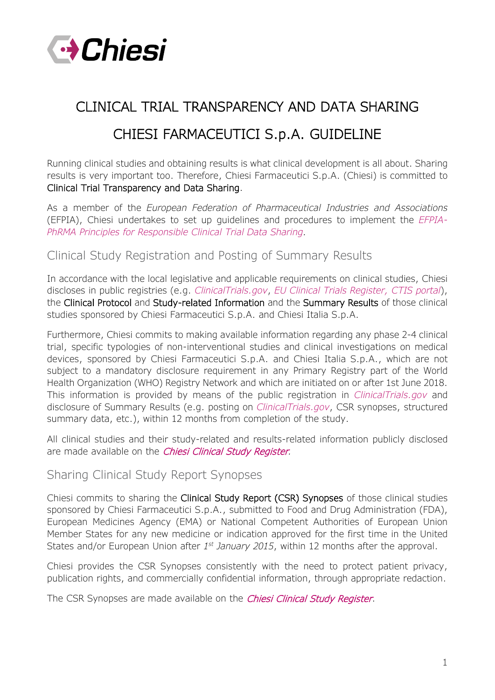

# CLINICAL TRIAL TRANSPARENCY AND DATA SHARING CHIESI FARMACEUTICI S.p.A. GUIDELINE

Running clinical studies and obtaining results is what clinical development is all about. Sharing results is very important too. Therefore, Chiesi Farmaceutici S.p.A. (Chiesi) is committed to Clinical Trial Transparency and Data Sharing.

As a member of the *European Federation of Pharmaceutical Industries and Associations* (EFPIA), Chiesi undertakes to set up guidelines and procedures to implement the *[EFPIA-](https://www.efpia.eu/media/25189/principles-for-responsible-clinical-trial-data-sharing.pdf)[PhRMA Principles for Responsible Clinical Trial Data Sharing.](https://www.efpia.eu/media/25189/principles-for-responsible-clinical-trial-data-sharing.pdf)*

# Clinical Study Registration and Posting of Summary Results

In accordance with the local legislative and applicable requirements on clinical studies, Chiesi discloses in public registries (e.g. *[ClinicalTrials.gov](https://www.clinicaltrials.gov/)*, *[EU Clinical Trials Register,](https://www.clinicaltrialsregister.eu/ctr-search/search) [CTIS portal](https://euclinicaltrials.eu/home)*), the Clinical Protocol and Study-related Information and the Summary Results of those clinical studies sponsored by Chiesi Farmaceutici S.p.A. and Chiesi Italia S.p.A.

Furthermore, Chiesi commits to making available information regarding any phase 2-4 clinical trial, specific typologies of non-interventional studies and clinical investigations on medical devices, sponsored by Chiesi Farmaceutici S.p.A. and Chiesi Italia S.p.A., which are not subject to a mandatory disclosure requirement in any Primary Registry part of the World Health Organization (WHO) Registry Network and which are initiated on or after 1st June 2018. This information is provided by means of the public registration in *[ClinicalTrials.gov](https://www.clinicaltrials.gov/)* and disclosure of Summary Results (e.g. posting on *[ClinicalTrials.gov](https://www.clinicaltrials.gov/)*, CSR synopses, structured summary data, etc.), within 12 months from completion of the study.

All clinical studies and their study-related and results-related information publicly disclosed are made available on the [Chiesi Clinical Study Register](http://www.chiesi.com/en/chiesi-clinical-study-register/)*.*

## Sharing Clinical Study Report Synopses

Chiesi commits to sharing the Clinical Study Report (CSR) Synopses of those clinical studies sponsored by Chiesi Farmaceutici S.p.A., submitted to Food and Drug Administration (FDA), European Medicines Agency (EMA) or National Competent Authorities of European Union Member States for any new medicine or indication approved for the first time in the United States and/or European Union after *1st January 2015*, within 12 months after the approval.

Chiesi provides the CSR Synopses consistently with the need to protect patient privacy, publication rights, and commercially confidential information, through appropriate redaction.

The CSR Synopses are made available on the *[Chiesi Clinical Study Register](http://www.chiesi.com/en/chiesi-clinical-study-register/)*.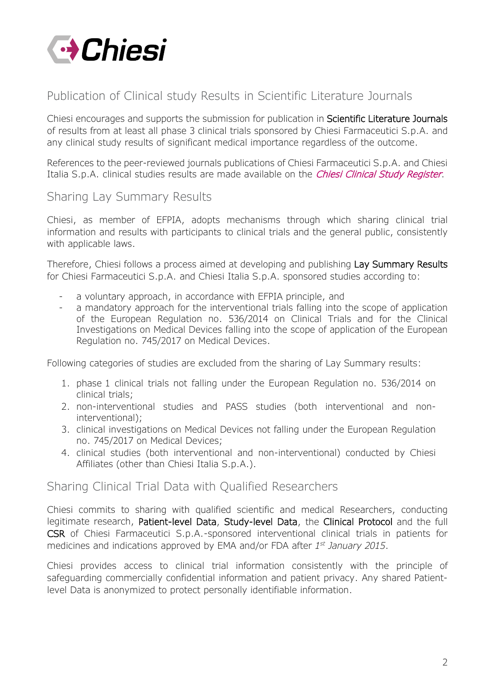

# Publication of Clinical study Results in Scientific Literature Journals

Chiesi encourages and supports the submission for publication in Scientific Literature Journals of results from at least all phase 3 clinical trials sponsored by Chiesi Farmaceutici S.p.A. and any clinical study results of significant medical importance regardless of the outcome.

References to the peer-reviewed journals publications of Chiesi Farmaceutici S.p.A. and Chiesi Italia S.p.A. clinical studies results are made available on the *[Chiesi Clinical Study Register](http://www.chiesi.com/en/chiesi-clinical-study-register/)*.

# Sharing Lay Summary Results

Chiesi, as member of EFPIA, adopts mechanisms through which sharing clinical trial information and results with participants to clinical trials and the general public, consistently with applicable laws.

Therefore, Chiesi follows a process aimed at developing and publishing Lay Summary Results for Chiesi Farmaceutici S.p.A. and Chiesi Italia S.p.A. sponsored studies according to:

- a voluntary approach, in accordance with EFPIA principle, and
- a mandatory approach for the interventional trials falling into the scope of application of the European Regulation no. 536/2014 on Clinical Trials and for the Clinical Investigations on Medical Devices falling into the scope of application of the European Regulation no. 745/2017 on Medical Devices.

Following categories of studies are excluded from the sharing of Lay Summary results:

- 1. phase 1 clinical trials not falling under the European Regulation no. 536/2014 on clinical trials;
- 2. non-interventional studies and PASS studies (both interventional and noninterventional);
- 3. clinical investigations on Medical Devices not falling under the European Regulation no. 745/2017 on Medical Devices;
- 4. clinical studies (both interventional and non-interventional) conducted by Chiesi Affiliates (other than Chiesi Italia S.p.A.).

## Sharing [Clinical Trial Data with Qualified Researchers](http://m.chiesi.com/ver2.2ctt/en/research-and-development/clinical-trial-transparency-and-data-sharing/#accordion_11)

Chiesi commits to sharing with qualified scientific and medical Researchers, conducting legitimate research, Patient-level Data, Study-level Data, the Clinical Protocol and the full CSR of Chiesi Farmaceutici S.p.A.-sponsored interventional clinical trials in patients for medicines and indications approved by EMA and/or FDA after *1st January 2015*.

Chiesi provides access to clinical trial information consistently with the principle of safeguarding commercially confidential information and patient privacy. Any shared Patientlevel Data is anonymized to protect personally identifiable information.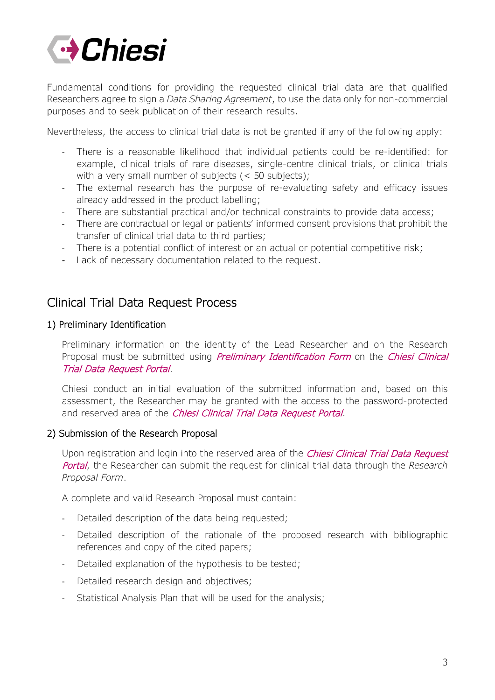

Fundamental conditions for providing the requested clinical trial data are that qualified Researchers agree to sign a *Data Sharing Agreement*, to use the data only for non-commercial purposes and to seek publication of their research results.

Nevertheless, the access to clinical trial data is not be granted if any of the following apply:

- There is a reasonable likelihood that individual patients could be re-identified: for example, clinical trials of rare diseases, single-centre clinical trials, or clinical trials with a very small number of subjects (< 50 subjects);
- The external research has the purpose of re-evaluating safety and efficacy issues already addressed in the product labelling;
- There are substantial practical and/or technical constraints to provide data access;
- There are contractual or legal or patients' informed consent provisions that prohibit the transfer of clinical trial data to third parties;
- There is a potential conflict of interest or an actual or potential competitive risk;
- Lack of necessary documentation related to the request.

# Clinical Trial Data Request Process

## 1) Preliminary Identification

Preliminary information on the identity of the Lead Researcher and on the Research Proposal must be submitted using *Preliminary Identification Form* on the *Chiesi Clinical* [Trial Data Request Portal](http://www.chiesi.com/en/chiesi-clinical-trial-data-request-portal/).

Chiesi conduct an initial evaluation of the submitted information and, based on this assessment, the Researcher may be granted with the access to the password-protected and reserved area of the [Chiesi Clinical Trial Data Request Portal](http://www.chiesi.com/en/chiesi-clinical-trial-data-request-portal/).

#### 2) Submission of the Research Proposal

Upon registration and login into the reserved area of the *Chiesi Clinical Trial Data Request* [Portal](http://www.chiesi.com/en/chiesi-clinical-trial-data-request-portal/), the Researcher can submit the request for clinical trial data through the *Research Proposal Form*.

A complete and valid Research Proposal must contain:

- Detailed description of the data being requested;
- Detailed description of the rationale of the proposed research with bibliographic references and copy of the cited papers;
- Detailed explanation of the hypothesis to be tested;
- Detailed research design and objectives;
- Statistical Analysis Plan that will be used for the analysis;